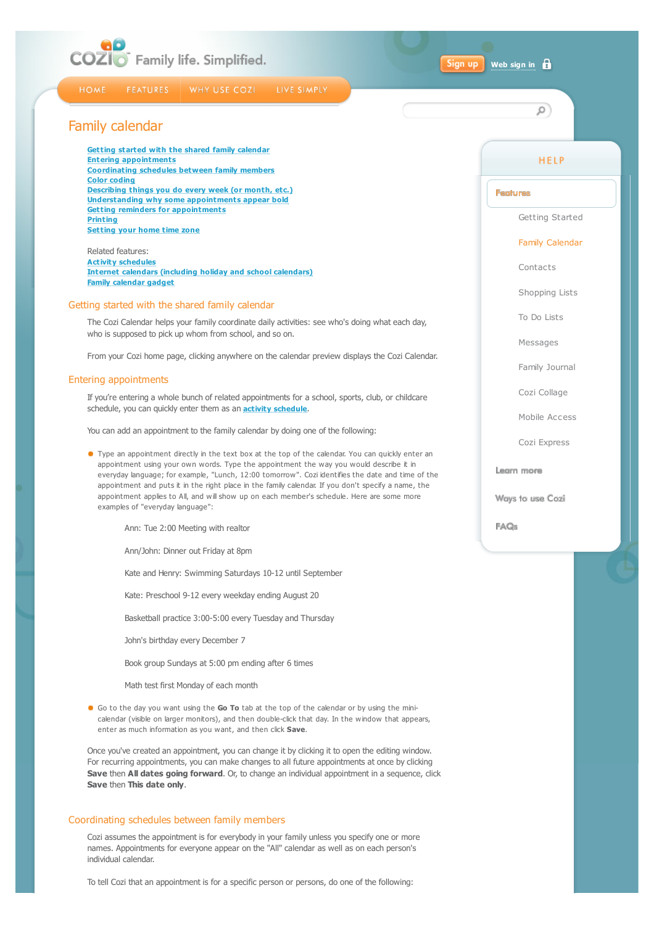<span id="page-0-1"></span><span id="page-0-0"></span>

| COZIO Family life. Simplified.<br>Sign up                                                                                                                                                                                                                                                                                                                                                                                             | 8<br>Web sign in               |
|---------------------------------------------------------------------------------------------------------------------------------------------------------------------------------------------------------------------------------------------------------------------------------------------------------------------------------------------------------------------------------------------------------------------------------------|--------------------------------|
| <b>HOME</b><br>WHY USE COZI<br>LIVE SIMPLY<br><b>FEATURES</b>                                                                                                                                                                                                                                                                                                                                                                         | Q                              |
| Family calendar                                                                                                                                                                                                                                                                                                                                                                                                                       |                                |
| Getting started with the shared family calendar<br><b>Entering appointments</b>                                                                                                                                                                                                                                                                                                                                                       | <b>HELP</b>                    |
| <b>Coordinating schedules between family members</b><br><b>Color coding</b><br>Describing things you do every week (or month, etc.)                                                                                                                                                                                                                                                                                                   | <b>Features</b>                |
| Understanding why some appointments appear bold<br><b>Getting reminders for appointments</b><br><b>Printing</b>                                                                                                                                                                                                                                                                                                                       | Getting Started                |
| <b>Setting your home time zone</b><br>Related features:                                                                                                                                                                                                                                                                                                                                                                               | <b>Family Calendar</b>         |
| <b>Activity schedules</b><br><b>Internet calendars (including holiday and school calendars)</b>                                                                                                                                                                                                                                                                                                                                       | Contacts                       |
| <b>Family calendar gadget</b>                                                                                                                                                                                                                                                                                                                                                                                                         | Shopping Lists                 |
| Getting started with the shared family calendar<br>The Cozi Calendar helps your family coordinate daily activities: see who's doing what each day,                                                                                                                                                                                                                                                                                    | To Do Lists                    |
| who is supposed to pick up whom from school, and so on.                                                                                                                                                                                                                                                                                                                                                                               | Messages                       |
| From your Cozi home page, clicking anywhere on the calendar preview displays the Cozi Calendar.<br>Entering appointments                                                                                                                                                                                                                                                                                                              | Family Journal                 |
| If you're entering a whole bunch of related appointments for a school, sports, club, or childcare                                                                                                                                                                                                                                                                                                                                     | Cozi Collage                   |
| schedule, you can quickly enter them as an <b>activity schedule</b> .<br>You can add an appointment to the family calendar by doing one of the following:                                                                                                                                                                                                                                                                             | Mobile Access                  |
| • Type an appointment directly in the text box at the top of the calendar. You can quickly enter an                                                                                                                                                                                                                                                                                                                                   | Cozi Express                   |
| appointment using your own words. Type the appointment the way you would describe it in<br>everyday language; for example, "Lunch, 12:00 tomorrow". Cozi identifies the date and time of the<br>appointment and puts it in the right place in the family calendar. If you don't specify a name, the<br>appointment applies to All, and will show up on each member's schedule. Here are some more<br>examples of "everyday language": | Learn more<br>Ways to use Cozi |
| Ann: Tue 2:00 Meeting with realtor                                                                                                                                                                                                                                                                                                                                                                                                    | FAQ <sub>s</sub>               |
| Ann/John: Dinner out Friday at 8pm                                                                                                                                                                                                                                                                                                                                                                                                    |                                |
| Kate and Henry: Swimming Saturdays 10-12 until September                                                                                                                                                                                                                                                                                                                                                                              |                                |
| Kate: Preschool 9-12 every weekday ending August 20                                                                                                                                                                                                                                                                                                                                                                                   |                                |
| Basketball practice 3:00-5:00 every Tuesday and Thursday                                                                                                                                                                                                                                                                                                                                                                              |                                |
| John's birthday every December 7                                                                                                                                                                                                                                                                                                                                                                                                      |                                |
| Book group Sundays at 5:00 pm ending after 6 times                                                                                                                                                                                                                                                                                                                                                                                    |                                |
| Math test first Monday of each month                                                                                                                                                                                                                                                                                                                                                                                                  |                                |
| • Go to the day you want using the Go To tab at the top of the calendar or by using the mini-<br>calendar (visible on larger monitors), and then double-click that day. In the window that appears,<br>enter as much information as you want, and then click Save.                                                                                                                                                                    |                                |
| Once you've created an appointment, you can change it by clicking it to open the editing window.<br>For recurring appointments, you can make changes to all future appointments at once by clicking<br><b>Save then All dates going forward.</b> Or, to change an individual appointment in a sequence, click<br>Save then This date only.                                                                                            |                                |
| Coordinating schedules between family members                                                                                                                                                                                                                                                                                                                                                                                         |                                |
| Cozi assumes the appointment is for everybody in your family unless you specify one or more<br>names. Appointments for everyone appear on the "All" calendar as well as on each person's<br>individual calendar.                                                                                                                                                                                                                      |                                |

<span id="page-0-2"></span>To tell Cozi that an appointment is for a specific person or persons, do one of the following: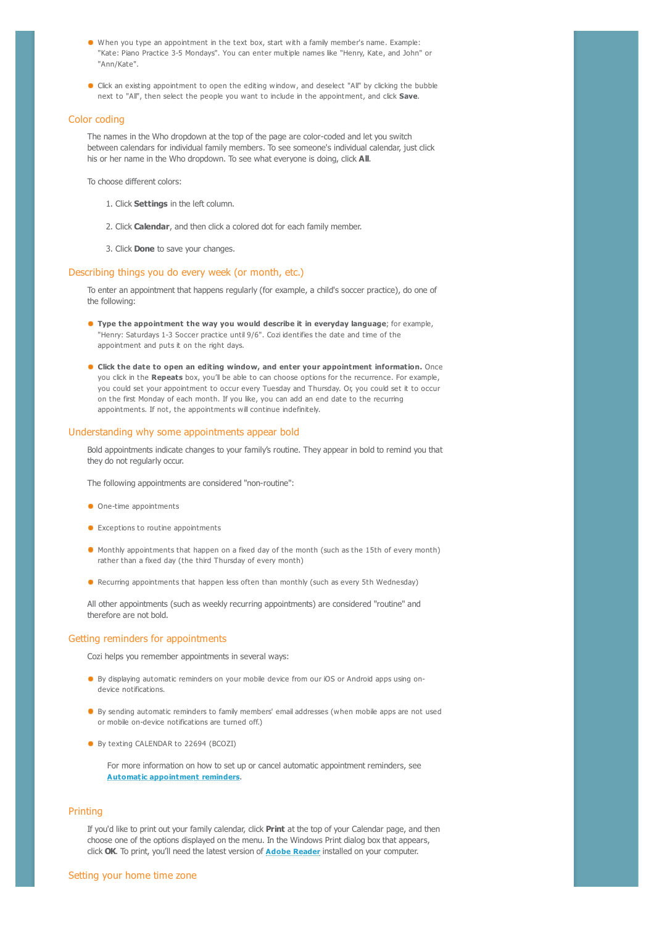- <span id="page-1-0"></span>When you type an appointment in the text box, start with a family member's name. Example: "Kate: Piano Practice 3-5 Mondays". You can enter multiple names like "Henry, Kate, and John" or "Ann/Kate".
- **Click an existing appointment to open the editing window, and deselect "All" by clicking the bubble** next to "All", then select the people you want to include in the appointment, and click **Save**.

#### <span id="page-1-1"></span>Color coding

The names in the Who dropdown at the top of the page are color-coded and let you switch between calendars for individual family members. To see someone's individual calendar, just click his or her name in the Who dropdown. To see what everyone is doing, click **All**.

To choose different colors:

- 1. Click **Settings** in the left column.
- 2. Click **Calendar**, and then click a colored dot for each family member.
- 3. Click **Done** to save your changes.

# <span id="page-1-2"></span>Describing things you do every week (or month, etc.)

To enter an appointment that happens regularly (for example, a child's soccer practice), do one of the following:

- **Type the appointment the way you would describe it in everyday language**; for example, "Henry: Saturdays 1-3 Soccer practice until 9/6". Cozi identifies the date and time of the appointment and puts it on the right days.
- **Click the date to open an editing window, and enter your appointment information.** Once you click in the **Repeats** box, you'll be able to can choose options for the recurrence. For example, you could set your appointment to occur every Tuesday and Thursday. Or, you could set it to occur on the first Monday of each month. If you like, you can add an end date to the recurring appointments. If not, the appointments will continue indefinitely.

### <span id="page-1-3"></span>Understanding why some appointments appear bold

Bold appointments indicate changes to your family's routine. They appear in bold to remind you that they do not regularly occur.

The following appointments are considered "non-routine":

- One-time appointments
- **Exceptions to routine appointments**
- Monthly appointments that happen on a fixed day of the month (such as the 15th of every month) rather than a fixed day (the third Thursday of every month)
- **Recurring appointments that happen less often than monthly (such as every 5th Wednesday)**

All other appointments (such as weekly recurring appointments) are considered "routine" and therefore are not bold.

### <span id="page-1-4"></span>Getting reminders for appointments

Cozi helps you remember appointments in several ways:

- By displaying automatic reminders on your mobile device from our iOS or Android apps using ondevice notifications.
- **By sending automatic reminders to family members' email addresses (when mobile apps are not used** or mobile on-device notifications are turned off.)
- By texting CALENDAR to 22694 (BCOZI)

For more information on how to set up or cancel automatic appointment reminders, see **[Automatic appointment reminders](http://www.cozi.com/Help-Appointment-Reminders.htm)**.

## <span id="page-1-5"></span>Printing

<span id="page-1-6"></span>If you'd like to print out your family calendar, click **Print** at the top of your Calendar page, and then choose one of the options displayed on the menu. In the Windows Print dialog box that appears, click **OK**. To print, you'll need the latest version of **[Adobe Reader](http://get.adobe.com/reader/)** installed on your computer.